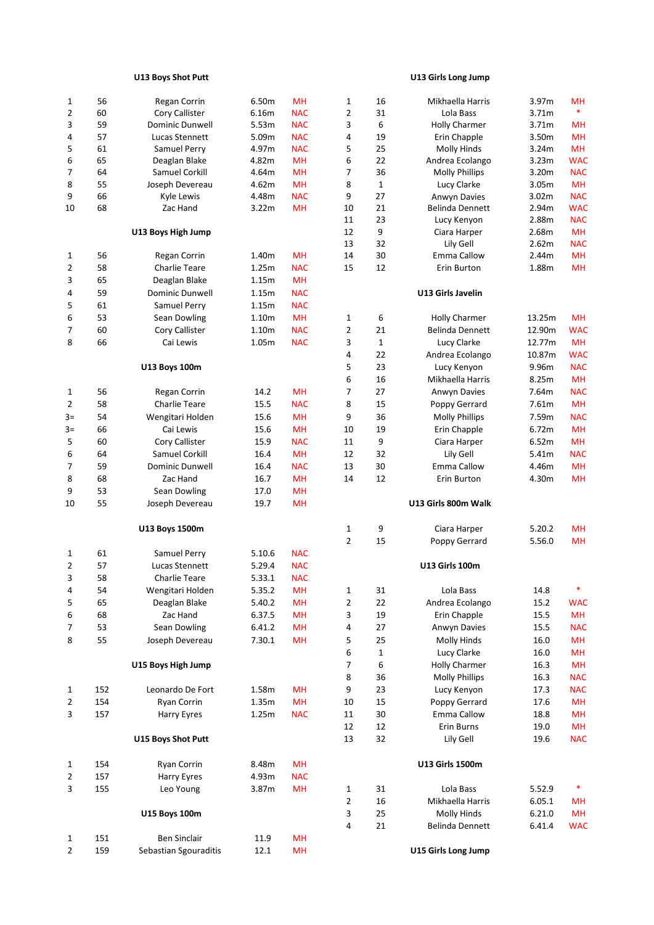| <b>U13 Boys Shot Putt</b> | U13 Girls Long Jump |
|---------------------------|---------------------|
|                           |                     |

| 1              | 56  | Regan Corrin           | 6.50m  | <b>MH</b>  | 1              | 16           | Mikhaella Harris       | 3.97m  | <b>MH</b>  |
|----------------|-----|------------------------|--------|------------|----------------|--------------|------------------------|--------|------------|
| $\overline{2}$ | 60  | Cory Callister         | 6.16m  | <b>NAC</b> | $\overline{2}$ | 31           | Lola Bass              | 3.71m  | $\ast$     |
| 3              | 59  | <b>Dominic Dunwell</b> | 5.53m  | <b>NAC</b> | 3              | 6            | <b>Holly Charmer</b>   | 3.71m  | MH         |
| 4              | 57  | Lucas Stennett         | 5.09m  | <b>NAC</b> | 4              | 19           | Erin Chapple           | 3.50m  | MH         |
| 5              | 61  | Samuel Perry           | 4.97m  | <b>NAC</b> | 5              | 25           | <b>Molly Hinds</b>     | 3.24m  | <b>MH</b>  |
| 6              | 65  | Deaglan Blake          | 4.82m  | <b>MH</b>  | 6              | 22           | Andrea Ecolango        | 3.23m  | WAC        |
| 7              | 64  | Samuel Corkill         | 4.64m  | <b>MH</b>  | 7              | 36           | <b>Molly Phillips</b>  | 3.20m  | <b>NAC</b> |
| 8              | 55  | Joseph Devereau        | 4.62m  | MH         | 8              | 1            | Lucy Clarke            | 3.05m  | MH         |
| 9              | 66  | Kyle Lewis             | 4.48m  | <b>NAC</b> | 9              | 27           | Anwyn Davies           | 3.02m  | <b>NAC</b> |
| 10             | 68  | Zac Hand               | 3.22m  | <b>MH</b>  | 10             | 21           | Belinda Dennett        | 2.94m  | WAC        |
|                |     |                        |        |            | 11             | 23           | Lucy Kenyon            | 2.88m  | <b>NAC</b> |
|                |     | U13 Boys High Jump     |        |            | 12             | 9            | Ciara Harper           | 2.68m  | <b>MH</b>  |
|                |     |                        |        |            | 13             | 32           | Lily Gell              | 2.62m  | <b>NAC</b> |
| 1              | 56  | Regan Corrin           | 1.40m  | <b>MH</b>  | 14             | 30           | <b>Emma Callow</b>     | 2.44m  | <b>MH</b>  |
| 2              | 58  | <b>Charlie Teare</b>   | 1.25m  | <b>NAC</b> | 15             | 12           | Erin Burton            | 1.88m  | <b>MH</b>  |
| 3              | 65  | Deaglan Blake          | 1.15m  | MH         |                |              |                        |        |            |
| 4              | 59  | Dominic Dunwell        | 1.15m  | <b>NAC</b> |                |              | U13 Girls Javelin      |        |            |
| 5              | 61  | Samuel Perry           | 1.15m  | <b>NAC</b> |                |              |                        |        |            |
| 6              | 53  | Sean Dowling           | 1.10m  | MH         | $\mathbf 1$    | 6            | <b>Holly Charmer</b>   | 13.25m | MH         |
| 7              | 60  | Cory Callister         |        | <b>NAC</b> | 2              | 21           | Belinda Dennett        | 12.90m |            |
|                |     |                        | 1.10m  |            |                |              |                        |        | <b>WAC</b> |
| 8              | 66  | Cai Lewis              | 1.05m  | <b>NAC</b> | 3              | $\mathbf{1}$ | Lucy Clarke            | 12.77m | <b>MH</b>  |
|                |     |                        |        |            | 4              | 22           | Andrea Ecolango        | 10.87m | <b>WAC</b> |
|                |     | U13 Boys 100m          |        |            | 5              | 23           | Lucy Kenyon            | 9.96m  | <b>NAC</b> |
|                |     |                        |        |            | 6              | 16           | Mikhaella Harris       | 8.25m  | <b>MH</b>  |
| 1              | 56  | Regan Corrin           | 14.2   | <b>MH</b>  | 7              | 27           | Anwyn Davies           | 7.64m  | <b>NAC</b> |
| $\overline{2}$ | 58  | <b>Charlie Teare</b>   | 15.5   | <b>NAC</b> | 8              | 15           | Poppy Gerrard          | 7.61m  | <b>MH</b>  |
| $3=$           | 54  | Wengitari Holden       | 15.6   | MH         | 9              | 36           | <b>Molly Phillips</b>  | 7.59m  | <b>NAC</b> |
| $3=$           | 66  | Cai Lewis              | 15.6   | MН         | 10             | 19           | Erin Chapple           | 6.72m  | <b>MH</b>  |
| 5              | 60  | Cory Callister         | 15.9   | <b>NAC</b> | 11             | 9            | Ciara Harper           | 6.52m  | <b>MH</b>  |
| 6              | 64  | Samuel Corkill         | 16.4   | <b>MH</b>  | 12             | 32           | Lily Gell              | 5.41m  | <b>NAC</b> |
| $\overline{7}$ | 59  | <b>Dominic Dunwell</b> | 16.4   | <b>NAC</b> | 13             | 30           | Emma Callow            | 4.46m  | <b>MH</b>  |
| 8              | 68  | Zac Hand               | 16.7   | <b>MH</b>  | 14             | 12           | Erin Burton            | 4.30m  | <b>MH</b>  |
| 9              | 53  | Sean Dowling           | 17.0   | <b>MH</b>  |                |              |                        |        |            |
| 10             | 55  | Joseph Devereau        | 19.7   | <b>MH</b>  |                |              | U13 Girls 800m Walk    |        |            |
|                |     | U13 Boys 1500m         |        |            | 1              | 9            | Ciara Harper           | 5.20.2 | <b>MH</b>  |
|                |     |                        |        |            | $\overline{2}$ | 15           | Poppy Gerrard          | 5.56.0 | MH         |
| 1              | 61  | Samuel Perry           | 5.10.6 | <b>NAC</b> |                |              |                        |        |            |
| 2              | 57  | Lucas Stennett         | 5.29.4 | <b>NAC</b> |                |              | <b>U13 Girls 100m</b>  |        |            |
| 3              | 58  | <b>Charlie Teare</b>   | 5.33.1 | <b>NAC</b> |                |              |                        |        |            |
| 4              | 54  | Wengitari Holden       | 5.35.2 | MH         | 1              | 31           | Lola Bass              | 14.8   | $\ast$     |
| 5              | 65  | Deaglan Blake          | 5.40.2 | MH         | $\overline{2}$ | 22           | Andrea Ecolango        | 15.2   | <b>WAC</b> |
| 6              | 68  | Zac Hand               | 6.37.5 | MH         | 3              | 19           | Erin Chapple           | 15.5   | <b>MH</b>  |
| 7              | 53  | Sean Dowling           | 6.41.2 | MH         | 4              | 27           | Anwyn Davies           | 15.5   | <b>NAC</b> |
| 8              | 55  | Joseph Devereau        | 7.30.1 | MН         | 5              | 25           | Molly Hinds            | 16.0   | <b>MH</b>  |
|                |     |                        |        |            | 6              | $\mathbf 1$  | Lucy Clarke            | 16.0   | MH         |
|                |     | U15 Boys High Jump     |        |            | 7              | 6            | <b>Holly Charmer</b>   | 16.3   | <b>MH</b>  |
|                |     |                        |        |            | 8              | 36           | <b>Molly Phillips</b>  |        | <b>NAC</b> |
|                |     |                        |        |            |                |              |                        | 16.3   |            |
| $\mathbf{1}$   | 152 | Leonardo De Fort       | 1.58m  | MH         | 9              | 23           | Lucy Kenyon            | 17.3   | <b>NAC</b> |
| 2              | 154 | Ryan Corrin            | 1.35m  | MH         | 10             | 15           | Poppy Gerrard          | 17.6   | <b>MH</b>  |
| 3              | 157 | Harry Eyres            | 1.25m  | <b>NAC</b> | 11             | 30           | Emma Callow            | 18.8   | <b>MH</b>  |
|                |     |                        |        |            | 12             | 12           | Erin Burns             | 19.0   | <b>MH</b>  |
|                |     | U15 Boys Shot Putt     |        |            | 13             | 32           | Lily Gell              | 19.6   | <b>NAC</b> |
| 1              | 154 | Ryan Corrin            | 8.48m  | MH         |                |              | <b>U13 Girls 1500m</b> |        |            |
| 2              | 157 | Harry Eyres            | 4.93m  | <b>NAC</b> |                |              |                        |        |            |
| 3              | 155 | Leo Young              | 3.87m  | MH         | 1              | 31           | Lola Bass              | 5.52.9 | *          |
|                |     |                        |        |            | $\overline{2}$ | 16           | Mikhaella Harris       | 6.05.1 | <b>MH</b>  |
|                |     | <b>U15 Boys 100m</b>   |        |            | 3              | 25           | Molly Hinds            | 6.21.0 | MH         |
|                |     |                        |        |            | $\overline{4}$ | 21           | Belinda Dennett        | 6.41.4 | <b>WAC</b> |
| $\mathbf{1}$   | 151 | Ben Sinclair           | 11.9   | MH         |                |              |                        |        |            |
| 2              | 159 | Sebastian Sgouraditis  | 12.1   | MН         |                |              | U15 Girls Long Jump    |        |            |
|                |     |                        |        |            |                |              |                        |        |            |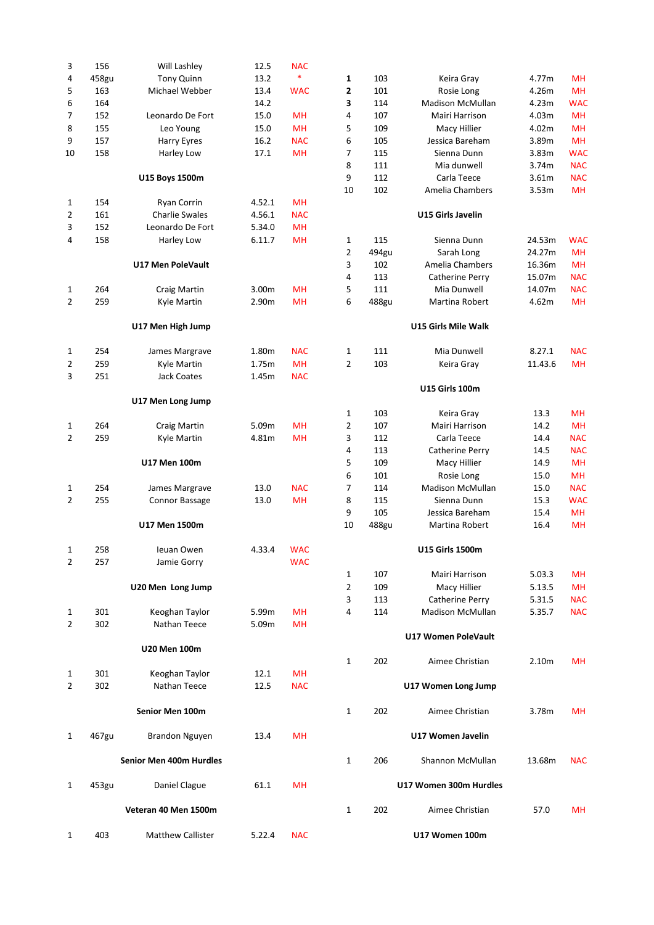| 3              | 156   | Will Lashley             | 12.5   | <b>NAC</b> |              |       |                         |         |            |
|----------------|-------|--------------------------|--------|------------|--------------|-------|-------------------------|---------|------------|
| 4              | 458gu | Tony Quinn               | 13.2   | $\ast$     | 1            | 103   | Keira Gray              | 4.77m   | <b>MH</b>  |
| 5              | 163   | Michael Webber           | 13.4   | <b>WAC</b> | 2            | 101   | Rosie Long              | 4.26m   | <b>MH</b>  |
|                | 164   |                          | 14.2   |            |              | 114   |                         |         | <b>WAC</b> |
| 6              |       |                          |        |            | 3            |       | <b>Madison McMullan</b> | 4.23m   |            |
| 7              | 152   | Leonardo De Fort         | 15.0   | MН         | 4            | 107   | Mairi Harrison          | 4.03m   | <b>MH</b>  |
| 8              | 155   | Leo Young                | 15.0   | <b>MH</b>  | 5            | 109   | Macy Hillier            | 4.02m   | <b>MH</b>  |
| 9              | 157   | Harry Eyres              | 16.2   | <b>NAC</b> | 6            | 105   | Jessica Bareham         | 3.89m   | <b>MH</b>  |
| 10             | 158   | Harley Low               | 17.1   | <b>MH</b>  | 7            | 115   | Sienna Dunn             | 3.83m   | <b>WAC</b> |
|                |       |                          |        |            | 8            | 111   | Mia dunwell             | 3.74m   | <b>NAC</b> |
|                |       | U15 Boys 1500m           |        |            | 9            | 112   | Carla Teece             | 3.61m   | <b>NAC</b> |
|                |       |                          |        |            | 10           | 102   | Amelia Chambers         | 3.53m   | <b>MH</b>  |
| 1              | 154   | Ryan Corrin              | 4.52.1 | <b>MH</b>  |              |       |                         |         |            |
|                |       |                          |        |            |              |       |                         |         |            |
| 2              | 161   | <b>Charlie Swales</b>    | 4.56.1 | <b>NAC</b> |              |       | U15 Girls Javelin       |         |            |
| 3              | 152   | Leonardo De Fort         | 5.34.0 | <b>MH</b>  |              |       |                         |         |            |
| 4              | 158   | Harley Low               | 6.11.7 | <b>MH</b>  | 1            | 115   | Sienna Dunn             | 24.53m  | <b>WAC</b> |
|                |       |                          |        |            | 2            | 494gu | Sarah Long              | 24.27m  | <b>MH</b>  |
|                |       | U17 Men PoleVault        |        |            | 3            | 102   | Amelia Chambers         | 16.36m  | <b>MH</b>  |
|                |       |                          |        |            | 4            | 113   | Catherine Perry         | 15.07m  | <b>NAC</b> |
| 1              | 264   | <b>Craig Martin</b>      | 3.00m  | <b>MH</b>  | 5            | 111   | Mia Dunwell             | 14.07m  | <b>NAC</b> |
| 2              | 259   | Kyle Martin              | 2.90m  | <b>MH</b>  | 6            | 488gu | Martina Robert          | 4.62m   | <b>MH</b>  |
|                |       |                          |        |            |              |       |                         |         |            |
|                |       | U17 Men High Jump        |        |            |              |       | U15 Girls Mile Walk     |         |            |
| 1              | 254   | James Margrave           | 1.80m  | <b>NAC</b> | 1            | 111   | Mia Dunwell             | 8.27.1  | <b>NAC</b> |
| 2              | 259   | Kyle Martin              | 1.75m  | <b>MH</b>  | 2            | 103   | Keira Gray              | 11.43.6 | <b>MH</b>  |
| 3              | 251   | <b>Jack Coates</b>       | 1.45m  | <b>NAC</b> |              |       |                         |         |            |
|                |       |                          |        |            |              |       | <b>U15 Girls 100m</b>   |         |            |
|                |       | U17 Men Long Jump        |        |            |              |       |                         |         |            |
|                |       |                          |        |            | 1            | 103   | Keira Gray              | 13.3    | <b>MH</b>  |
| 1              | 264   | <b>Craig Martin</b>      | 5.09m  | <b>MH</b>  | 2            | 107   | Mairi Harrison          | 14.2    | <b>MH</b>  |
| $\overline{2}$ | 259   | Kyle Martin              | 4.81m  | <b>MH</b>  | 3            | 112   | Carla Teece             | 14.4    | <b>NAC</b> |
|                |       |                          |        |            | 4            | 113   | Catherine Perry         | 14.5    | <b>NAC</b> |
|                |       | <b>U17 Men 100m</b>      |        |            | 5            | 109   | Macy Hillier            | 14.9    | <b>MH</b>  |
|                |       |                          |        |            | 6            | 101   | Rosie Long              | 15.0    | <b>MH</b>  |
|                |       |                          |        |            |              |       |                         |         |            |
| 1              | 254   | James Margrave           | 13.0   | <b>NAC</b> | 7            | 114   | <b>Madison McMullan</b> | 15.0    | <b>NAC</b> |
| 2              | 255   | Connor Bassage           | 13.0   | <b>MH</b>  | 8            | 115   | Sienna Dunn             | 15.3    | <b>WAC</b> |
|                |       |                          |        |            | 9            | 105   | Jessica Bareham         | 15.4    | <b>MH</b>  |
|                |       | U17 Men 1500m            |        |            | 10           | 488gu | Martina Robert          | 16.4    | <b>MH</b>  |
| 1              | 258   | Ieuan Owen               | 4.33.4 | <b>WAC</b> |              |       | <b>U15 Girls 1500m</b>  |         |            |
| $\overline{2}$ |       | Jamie Gorry              |        |            |              |       |                         |         |            |
|                | 257   |                          |        | <b>WAC</b> |              |       |                         |         |            |
|                |       |                          |        |            | 1            | 107   | Mairi Harrison          | 5.03.3  | MH         |
|                |       | U20 Men Long Jump        |        |            | 2            | 109   | Macy Hillier            | 5.13.5  | <b>MH</b>  |
|                |       |                          |        |            | 3            | 113   | Catherine Perry         | 5.31.5  | <b>NAC</b> |
| 1              | 301   | Keoghan Taylor           | 5.99m  | <b>MH</b>  | 4            | 114   | <b>Madison McMullan</b> | 5.35.7  | <b>NAC</b> |
| 2              | 302   | Nathan Teece             | 5.09m  | <b>MH</b>  |              |       |                         |         |            |
|                |       |                          |        |            |              |       | U17 Women PoleVault     |         |            |
|                |       | U20 Men 100m             |        |            |              |       |                         |         |            |
|                |       |                          |        |            | 1            | 202   | Aimee Christian         | 2.10m   | MН         |
| 1              | 301   | Keoghan Taylor           | 12.1   | MН         |              |       |                         |         |            |
| 2              | 302   | Nathan Teece             | 12.5   | <b>NAC</b> |              |       | U17 Women Long Jump     |         |            |
|                |       | Senior Men 100m          |        |            | 1            | 202   | Aimee Christian         | 3.78m   | MН         |
| 1              | 467gu | <b>Brandon Nguyen</b>    | 13.4   | <b>MH</b>  |              |       | U17 Women Javelin       |         |            |
|                |       | Senior Men 400m Hurdles  |        |            | $\mathbf{1}$ | 206   | Shannon McMullan        | 13.68m  | <b>NAC</b> |
|                |       |                          |        |            |              |       |                         |         |            |
| 1              | 453gu | Daniel Clague            | 61.1   | <b>MH</b>  |              |       | U17 Women 300m Hurdles  |         |            |
|                |       | Veteran 40 Men 1500m     |        |            | 1            | 202   | Aimee Christian         | 57.0    | <b>MH</b>  |
| 1              | 403   | <b>Matthew Callister</b> | 5.22.4 | <b>NAC</b> |              |       | U17 Women 100m          |         |            |